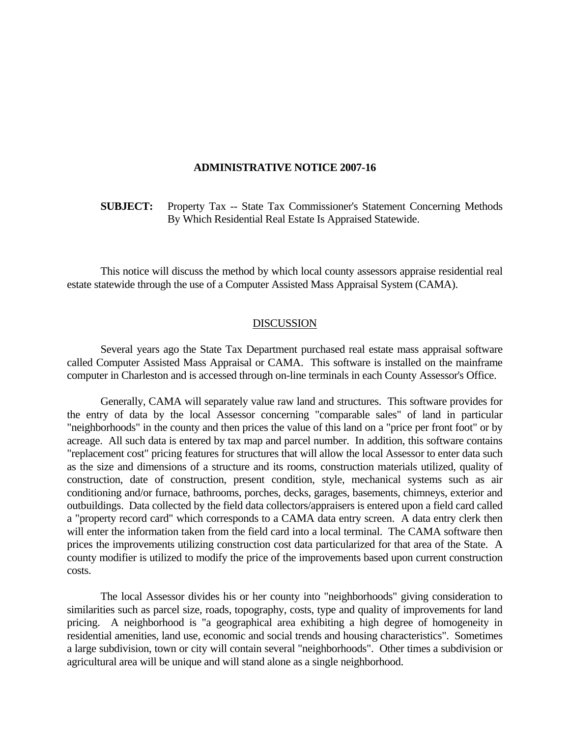## **ADMINISTRATIVE NOTICE 2007-16**

 **SUBJECT:** Property Tax -- State Tax Commissioner's Statement Concerning Methods By Which Residential Real Estate Is Appraised Statewide.

 This notice will discuss the method by which local county assessors appraise residential real estate statewide through the use of a Computer Assisted Mass Appraisal System (CAMA).

## DISCUSSION

 Several years ago the State Tax Department purchased real estate mass appraisal software called Computer Assisted Mass Appraisal or CAMA. This software is installed on the mainframe computer in Charleston and is accessed through on-line terminals in each County Assessor's Office.

 Generally, CAMA will separately value raw land and structures. This software provides for the entry of data by the local Assessor concerning "comparable sales" of land in particular "neighborhoods" in the county and then prices the value of this land on a "price per front foot" or by acreage. All such data is entered by tax map and parcel number. In addition, this software contains "replacement cost" pricing features for structures that will allow the local Assessor to enter data such as the size and dimensions of a structure and its rooms, construction materials utilized, quality of construction, date of construction, present condition, style, mechanical systems such as air conditioning and/or furnace, bathrooms, porches, decks, garages, basements, chimneys, exterior and outbuildings. Data collected by the field data collectors/appraisers is entered upon a field card called a "property record card" which corresponds to a CAMA data entry screen. A data entry clerk then will enter the information taken from the field card into a local terminal. The CAMA software then prices the improvements utilizing construction cost data particularized for that area of the State. A county modifier is utilized to modify the price of the improvements based upon current construction costs.

 The local Assessor divides his or her county into "neighborhoods" giving consideration to similarities such as parcel size, roads, topography, costs, type and quality of improvements for land pricing. A neighborhood is "a geographical area exhibiting a high degree of homogeneity in residential amenities, land use, economic and social trends and housing characteristics". Sometimes a large subdivision, town or city will contain several "neighborhoods". Other times a subdivision or agricultural area will be unique and will stand alone as a single neighborhood.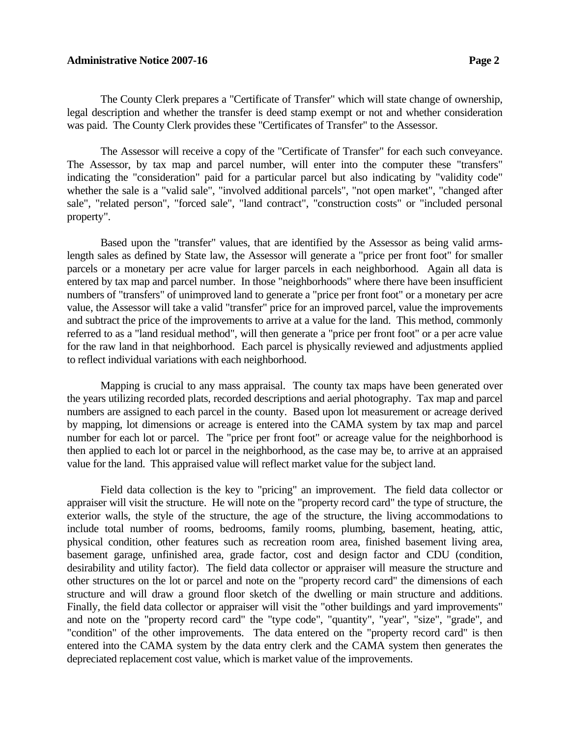## **Administrative Notice 2007-16** Page 2

 The County Clerk prepares a "Certificate of Transfer" which will state change of ownership, legal description and whether the transfer is deed stamp exempt or not and whether consideration was paid. The County Clerk provides these "Certificates of Transfer" to the Assessor.

 The Assessor will receive a copy of the "Certificate of Transfer" for each such conveyance. The Assessor, by tax map and parcel number, will enter into the computer these "transfers" indicating the "consideration" paid for a particular parcel but also indicating by "validity code" whether the sale is a "valid sale", "involved additional parcels", "not open market", "changed after sale", "related person", "forced sale", "land contract", "construction costs" or "included personal property".

 Based upon the "transfer" values, that are identified by the Assessor as being valid armslength sales as defined by State law, the Assessor will generate a "price per front foot" for smaller parcels or a monetary per acre value for larger parcels in each neighborhood. Again all data is entered by tax map and parcel number. In those "neighborhoods" where there have been insufficient numbers of "transfers" of unimproved land to generate a "price per front foot" or a monetary per acre value, the Assessor will take a valid "transfer" price for an improved parcel, value the improvements and subtract the price of the improvements to arrive at a value for the land. This method, commonly referred to as a "land residual method", will then generate a "price per front foot" or a per acre value for the raw land in that neighborhood. Each parcel is physically reviewed and adjustments applied to reflect individual variations with each neighborhood.

 Mapping is crucial to any mass appraisal. The county tax maps have been generated over the years utilizing recorded plats, recorded descriptions and aerial photography. Tax map and parcel numbers are assigned to each parcel in the county. Based upon lot measurement or acreage derived by mapping, lot dimensions or acreage is entered into the CAMA system by tax map and parcel number for each lot or parcel. The "price per front foot" or acreage value for the neighborhood is then applied to each lot or parcel in the neighborhood, as the case may be, to arrive at an appraised value for the land. This appraised value will reflect market value for the subject land.

 Field data collection is the key to "pricing" an improvement. The field data collector or appraiser will visit the structure. He will note on the "property record card" the type of structure, the exterior walls, the style of the structure, the age of the structure, the living accommodations to include total number of rooms, bedrooms, family rooms, plumbing, basement, heating, attic, physical condition, other features such as recreation room area, finished basement living area, basement garage, unfinished area, grade factor, cost and design factor and CDU (condition, desirability and utility factor). The field data collector or appraiser will measure the structure and other structures on the lot or parcel and note on the "property record card" the dimensions of each structure and will draw a ground floor sketch of the dwelling or main structure and additions. Finally, the field data collector or appraiser will visit the "other buildings and yard improvements" and note on the "property record card" the "type code", "quantity", "year", "size", "grade", and "condition" of the other improvements. The data entered on the "property record card" is then entered into the CAMA system by the data entry clerk and the CAMA system then generates the depreciated replacement cost value, which is market value of the improvements.